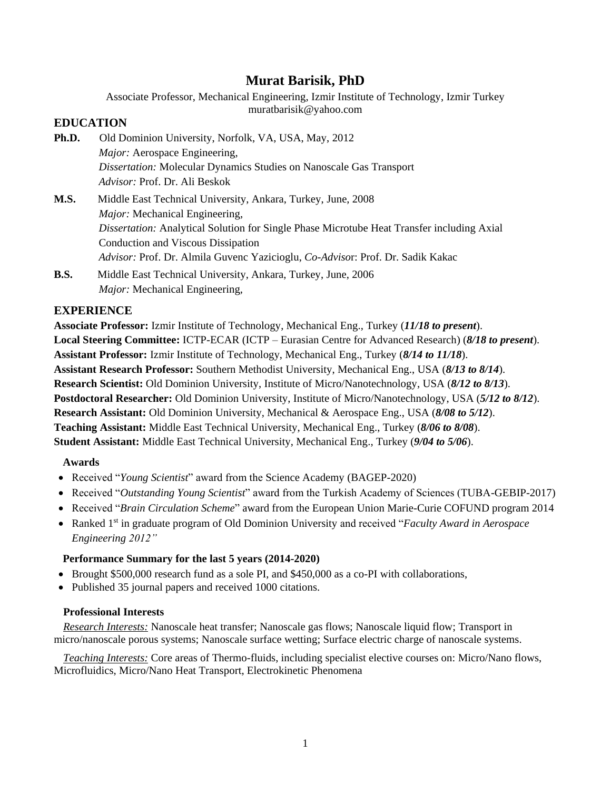Associate Professor, Mechanical Engineering, Izmir Institute of Technology, Izmir Turkey muratbarisik@yahoo.com

## **EDUCATION**

- **Ph.D.** Old Dominion University, Norfolk, VA, USA, May, 2012 *Major:* Aerospace Engineering, *Dissertation:* Molecular Dynamics Studies on Nanoscale Gas Transport *Advisor:* Prof. Dr. Ali Beskok
- **M.S.** Middle East Technical University, Ankara, Turkey, June, 2008 *Major:* Mechanical Engineering, *Dissertation:* Analytical Solution for Single Phase Microtube Heat Transfer including Axial Conduction and Viscous Dissipation *Advisor:* Prof. Dr. Almila Guvenc Yazicioglu, *Co-Adviso*r: Prof. Dr. Sadik Kakac
- **B.S.** Middle East Technical University, Ankara, Turkey, June, 2006 *Major:* Mechanical Engineering,

# **EXPERIENCE**

**Associate Professor:** Izmir Institute of Technology, Mechanical Eng., Turkey (*11/18 to present*). **Local Steering Committee:** ICTP-ECAR (ICTP – Eurasian Centre for Advanced Research) (*8/18 to present*). **Assistant Professor:** Izmir Institute of Technology, Mechanical Eng., Turkey (*8/14 to 11/18*). **Assistant Research Professor:** Southern Methodist University, Mechanical Eng., USA (*8/13 to 8/14*). **Research Scientist:** Old Dominion University, Institute of Micro/Nanotechnology, USA (*8/12 to 8/13*). **Postdoctoral Researcher:** Old Dominion University, Institute of Micro/Nanotechnology, USA (*5/12 to 8/12*). **Research Assistant:** Old Dominion University, Mechanical & Aerospace Eng., USA (*8/08 to 5/12*). **Teaching Assistant:** Middle East Technical University, Mechanical Eng., Turkey (*8/06 to 8/08*). **Student Assistant:** Middle East Technical University, Mechanical Eng., Turkey (*9/04 to 5/06*).

## **Awards**

- Received "*Young Scientist*" award from the Science Academy (BAGEP-2020)
- Received "*Outstanding Young Scientist*" award from the Turkish Academy of Sciences (TUBA-GEBIP-2017)
- Received "*Brain Circulation Scheme*" award from the European Union Marie-Curie COFUND program 2014
- Ranked 1<sup>st</sup> in graduate program of Old Dominion University and received "*Faculty Award in Aerospace Engineering 2012"*

## **Performance Summary for the last 5 years (2014-2020)**

- Brought \$500,000 research fund as a sole PI, and \$450,000 as a co-PI with collaborations,
- Published 35 journal papers and received 1000 citations.

### **Professional Interests**

*Research Interests:* Nanoscale heat transfer; Nanoscale gas flows; Nanoscale liquid flow; Transport in micro/nanoscale porous systems; Nanoscale surface wetting; Surface electric charge of nanoscale systems.

*Teaching Interests:* Core areas of Thermo-fluids, including specialist elective courses on: Micro/Nano flows, Microfluidics, Micro/Nano Heat Transport, Electrokinetic Phenomena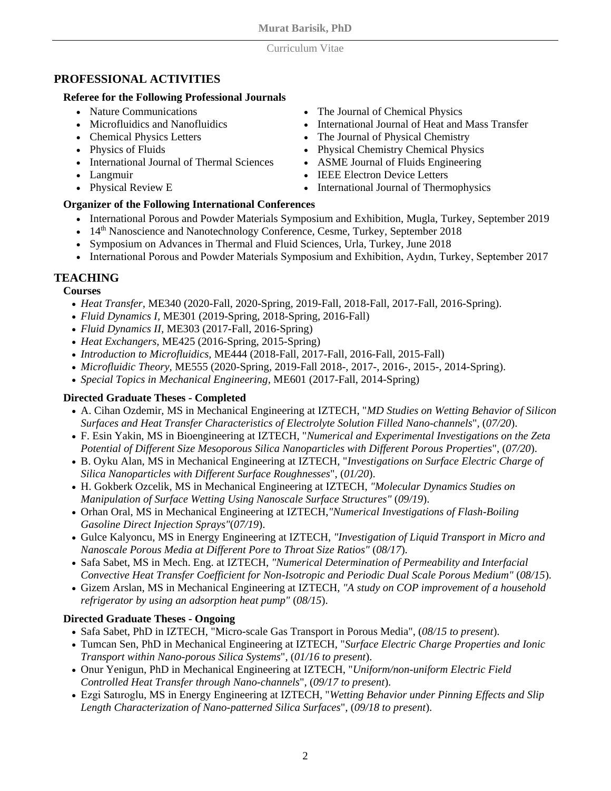### Curriculum Vitae

# **PROFESSIONAL ACTIVITIES**

### **Referee for the Following Professional Journals**

- Nature Communications
- Microfluidics and Nanofluidics
- Chemical Physics Letters
- Physics of Fluids
- International Journal of Thermal Sciences
- Langmuir
- Physical Review E

# **Organizer of the Following International Conferences**

- International Porous and Powder Materials Symposium and Exhibition, Mugla, Turkey, September 2019
- $\bullet$  14<sup>th</sup> Nanoscience and Nanotechnology Conference, Cesme, Turkey, September 2018
- Symposium on Advances in Thermal and Fluid Sciences, Urla, Turkey, June 2018
- International Porous and Powder Materials Symposium and Exhibition, Aydın, Turkey, September 2017

# **TEACHING**

# **Courses**

- *Heat Transfer,* ME340 (2020-Fall, 2020-Spring, 2019-Fall, 2018-Fall, 2017-Fall, 2016-Spring).
- *Fluid Dynamics I,* ME301 (2019-Spring, 2018-Spring, 2016-Fall)
- *Fluid Dynamics II,* ME303 (2017-Fall, 2016-Spring)
- *Heat Exchangers,* ME425 (2016-Spring, 2015-Spring)
- *Introduction to Microfluidics,* ME444 (2018-Fall, 2017-Fall, 2016-Fall, 2015-Fall)
- *Microfluidic Theory,* ME555 (2020-Spring, 2019-Fall 2018-, 2017-, 2016-, 2015-, 2014-Spring).
- *Special Topics in Mechanical Engineering,* ME601 (2017-Fall, 2014-Spring)

# **Directed Graduate Theses - Completed**

- A. Cihan Ozdemir, MS in Mechanical Engineering at IZTECH, "*MD Studies on Wetting Behavior of Silicon Surfaces and Heat Transfer Characteristics of Electrolyte Solution Filled Nano-channels*", (*07/20*).
- F. Esin Yakin, MS in Bioengineering at IZTECH, "*Numerical and Experimental Investigations on the Zeta Potential of Different Size Mesoporous Silica Nanoparticles with Different Porous Properties*", (*07/20*).
- B. Oyku Alan, MS in Mechanical Engineering at IZTECH, "*Investigations on Surface Electric Charge of Silica Nanoparticles with Different Surface Roughnesses*", (*01/20*).
- H. Gokberk Ozcelik*,* MS in Mechanical Engineering at IZTECH, *"Molecular Dynamics Studies on Manipulation of Surface Wetting Using Nanoscale Surface Structures"* (*09/19*).
- Orhan Oral, MS in Mechanical Engineering at IZTECH,*"Numerical Investigations of Flash-Boiling Gasoline Direct Injection Sprays"*(*07/19*).
- Gulce Kalyoncu, MS in Energy Engineering at IZTECH, *"Investigation of Liquid Transport in Micro and Nanoscale Porous Media at Different Pore to Throat Size Ratios"* (*08/17*).
- Safa Sabet, MS in Mech. Eng. at IZTECH, *"Numerical Determination of Permeability and Interfacial Convective Heat Transfer Coefficient for Non-Isotropic and Periodic Dual Scale Porous Medium"* (*08/15*).
- Gizem Arslan, MS in Mechanical Engineering at IZTECH, *"A study on COP improvement of a household refrigerator by using an adsorption heat pump"* (*08/15*).

# **Directed Graduate Theses - Ongoing**

- Safa Sabet, PhD in IZTECH, "Micro-scale Gas Transport in Porous Media", (*08/15 to present*).
- Tumcan Sen, PhD in Mechanical Engineering at IZTECH, "*Surface Electric Charge Properties and Ionic Transport within Nano-porous Silica Systems*", (*01/16 to present*).
- Onur Yenigun, PhD in Mechanical Engineering at IZTECH, "*Uniform/non-uniform Electric Field Controlled Heat Transfer through Nano-channels*", (*09/17 to present*).
- Ezgi Satıroglu, MS in Energy Engineering at IZTECH, "*Wetting Behavior under Pinning Effects and Slip Length Characterization of Nano-patterned Silica Surfaces*", (*09/18 to present*).
- The Journal of Chemical Physics
- International Journal of Heat and Mass Transfer
- The Journal of Physical Chemistry
- Physical Chemistry Chemical Physics
- ASME Journal of Fluids Engineering
- **IEEE Electron Device Letters**
- International Journal of Thermophysics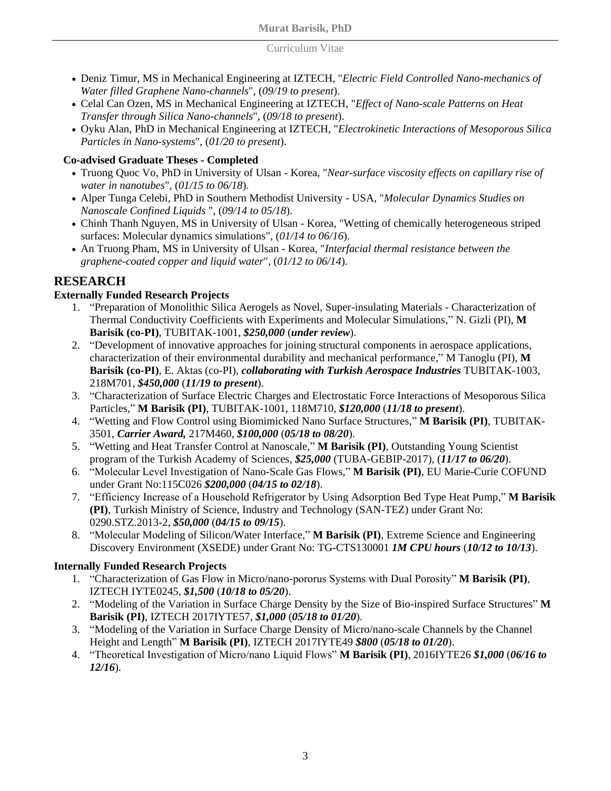### Curriculum Vitae

- Deniz Timur, MS in Mechanical Engineering at IZTECH, "*Electric Field Controlled Nano-mechanics of Water filled Graphene Nano-channels*", (*09/19 to present*).
- Celal Can Ozen, MS in Mechanical Engineering at IZTECH, "*Effect of Nano-scale Patterns on Heat Transfer through Silica Nano-channels*", (*09/18 to present*).
- Oyku Alan, PhD in Mechanical Engineering at IZTECH, "*Electrokinetic Interactions of Mesoporous Silica Particles in Nano-systems*", (*01/20 to present*).

# **Co-advised Graduate Theses - Completed**

- Truong Quoc Vo, PhD in University of Ulsan Korea, "*Near-surface viscosity effects on capillary rise of water in nanotubes*", (*01/15 to 06/18*).
- Alper Tunga Celebi, PhD in Southern Methodist University USA, "*Molecular Dynamics Studies on Nanoscale Confined Liquids* ", (*09/14 to 05/18*).
- Chinh Thanh Nguyen, MS in University of Ulsan Korea, "Wetting of chemically heterogeneous striped surfaces: Molecular dynamics simulations", (*01/14 to 06/16*).
- An Truong Pham, MS in University of Ulsan Korea, "*Interfacial thermal resistance between the graphene-coated copper and liquid water*", (*01/12 to 06/14*).

# **RESEARCH**

# **Externally Funded Research Projects**

- 1. "Preparation of Monolithic Silica Aerogels as Novel, Super-insulating Materials Characterization of Thermal Conductivity Coefficients with Experiments and Molecular Simulations," N. Gizli (PI), **M Barisik (co-PI)**, TUBITAK-1001, *\$250,000* (*under review*).
- 2. "Development of innovative approaches for joining structural components in aerospace applications, characterization of their environmental durability and mechanical performance," M Tanoglu (PI), **M Barisik (co-PI)**, E. Aktas (co-PI), *collaborating with Turkish Aerospace Industries* TUBITAK-1003, 218M701, *\$450,000* (*11/19 to present*).
- 3. "Characterization of Surface Electric Charges and Electrostatic Force Interactions of Mesoporous Silica Particles," **M Barisik (PI)**, TUBITAK-1001, 118M710, *\$120,000* (*11/18 to present*).
- 4. "Wetting and Flow Control using Biomimicked Nano Surface Structures," **M Barisik (PI)**, TUBITAK-3501, *Carrier Award,* 217M460, *\$100,000* (*05/18 to 08/20*).
- 5. "Wetting and Heat Transfer Control at Nanoscale," **M Barisik (PI)**, Outstanding Young Scientist program of the Turkish Academy of Sciences, *\$25,000* (TUBA-GEBIP-2017), (*11/17 to 06/20*).
- 6. "Molecular Level Investigation of Nano-Scale Gas Flows," **M Barisik (PI)**, EU Marie-Curie COFUND under Grant No:115C026 *\$200,000* (*04/15 to 02/18*).
- 7. "Efficiency Increase of a Household Refrigerator by Using Adsorption Bed Type Heat Pump," **M Barisik (PI)**, Turkish Ministry of Science, Industry and Technology (SAN-TEZ) under Grant No: 0290.STZ.2013-2, *\$50,000* (*04/15 to 09/15*).
- 8. "Molecular Modeling of Silicon/Water Interface," **M Barisik (PI)**, Extreme Science and Engineering Discovery Environment (XSEDE) under Grant No: TG-CTS130001 *1M CPU hours* (*10/12 to 10/13*).

# **Internally Funded Research Projects**

- 1. "Characterization of Gas Flow in Micro/nano-pororus Systems with Dual Porosity" **M Barisik (PI)**, IZTECH IYTE0245, *\$1,500* (*10/18 to 05/20*).
- 2. "Modeling of the Variation in Surface Charge Density by the Size of Bio-inspired Surface Structures" **M Barisik (PI)**, IZTECH 2017IYTE57, *\$1,000* (*05/18 to 01/20*).
- 3. "Modeling of the Variation in Surface Charge Density of Micro/nano-scale Channels by the Channel Height and Length" **M Barisik (PI)**, IZTECH 2017IYTE49 *\$800* (*05/18 to 01/20*).
- 4. "Theoretical Investigation of Micro/nano Liquid Flows" **M Barisik (PI)**, 2016IYTE26 *\$1,000* (*06/16 to 12/16*).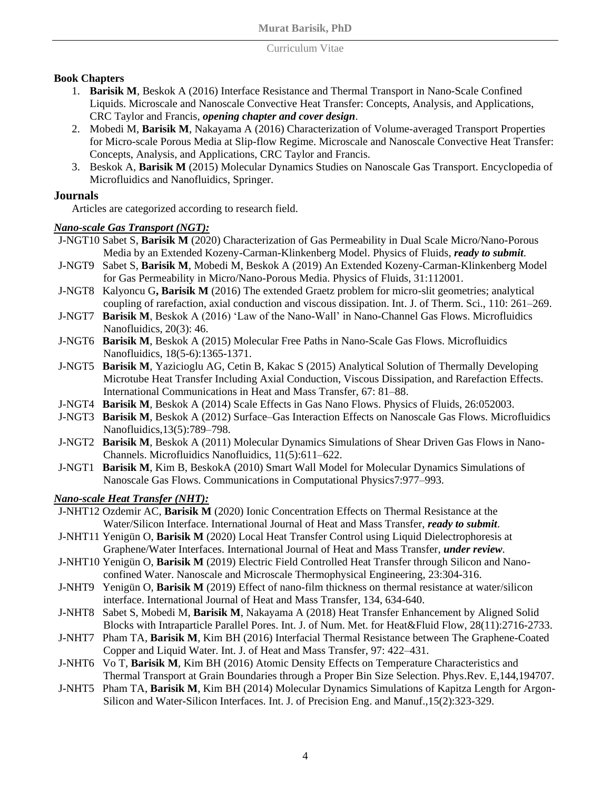#### Curriculum Vitae

## **Book Chapters**

- 1. **Barisik M**, Beskok A (2016) Interface Resistance and Thermal Transport in Nano-Scale Confined Liquids. Microscale and Nanoscale Convective Heat Transfer: Concepts, Analysis, and Applications, CRC Taylor and Francis, *opening chapter and cover design*.
- 2. Mobedi M, **Barisik M**, Nakayama A (2016) Characterization of Volume-averaged Transport Properties for Micro-scale Porous Media at Slip-flow Regime. Microscale and Nanoscale Convective Heat Transfer: Concepts, Analysis, and Applications, CRC Taylor and Francis.
- 3. Beskok A, **Barisik M** (2015) Molecular Dynamics Studies on Nanoscale Gas Transport. Encyclopedia of Microfluidics and Nanofluidics, Springer.

## **Journals**

Articles are categorized according to research field.

## *Nano-scale Gas Transport (NGT):*

J-NGT10 Sabet S, **Barisik M** (2020) Characterization of Gas Permeability in Dual Scale Micro/Nano-Porous Media by an Extended Kozeny-Carman-Klinkenberg Model. Physics of Fluids, *ready to submit*.

- J-NGT9 Sabet S, **Barisik M**, Mobedi M, Beskok A (2019) An Extended Kozeny-Carman-Klinkenberg Model for Gas Permeability in Micro/Nano-Porous Media. Physics of Fluids, 31:112001.
- J-NGT8 Kalyoncu G**, Barisik M** (2016) The extended Graetz problem for micro-slit geometries; analytical coupling of rarefaction, axial conduction and viscous dissipation. Int. J. of Therm. Sci., 110: 261–269.
- J-NGT7 **Barisik M**, Beskok A (2016) 'Law of the Nano-Wall' in Nano-Channel Gas Flows. Microfluidics Nanofluidics, 20(3): 46.
- J-NGT6 **Barisik M**, Beskok A (2015) Molecular Free Paths in Nano-Scale Gas Flows. Microfluidics Nanofluidics, 18(5-6):1365-1371.
- J-NGT5 **Barisik M**, Yazicioglu AG, Cetin B, Kakac S (2015) Analytical Solution of Thermally Developing Microtube Heat Transfer Including Axial Conduction, Viscous Dissipation, and Rarefaction Effects. International Communications in Heat and Mass Transfer, 67: 81–88.
- J-NGT4 **Barisik M**, Beskok A (2014) Scale Effects in Gas Nano Flows. Physics of Fluids, 26:052003.
- J-NGT3 **Barisik M**, Beskok A (2012) Surface–Gas Interaction Effects on Nanoscale Gas Flows. Microfluidics Nanofluidics,13(5):789–798.
- J-NGT2 **Barisik M**, Beskok A (2011) Molecular Dynamics Simulations of Shear Driven Gas Flows in Nano-Channels. Microfluidics Nanofluidics, 11(5):611–622.
- J-NGT1 **Barisik M**, Kim B, BeskokA (2010) Smart Wall Model for Molecular Dynamics Simulations of Nanoscale Gas Flows. Communications in Computational Physics7:977–993.

## *Nano-scale Heat Transfer (NHT):*

- J-NHT12 Ozdemir AC, **Barisik M** (2020) Ionic Concentration Effects on Thermal Resistance at the Water/Silicon Interface. International Journal of Heat and Mass Transfer, *ready to submit*.
- J-NHT11 Yenigün O, **Barisik M** (2020) Local Heat Transfer Control using Liquid Dielectrophoresis at Graphene/Water Interfaces. International Journal of Heat and Mass Transfer, *under review*.
- J-NHT10 Yenigün O, **Barisik M** (2019) Electric Field Controlled Heat Transfer through Silicon and Nanoconfined Water. Nanoscale and Microscale Thermophysical Engineering, 23:304-316.
- J-NHT9 Yenigün O, **Barisik M** (2019) Effect of nano-film thickness on thermal resistance at water/silicon interface. International Journal of Heat and Mass Transfer, 134, 634-640.
- J-NHT8 Sabet S, Mobedi M, **Barisik M**, Nakayama A (2018) Heat Transfer Enhancement by Aligned Solid Blocks with Intraparticle Parallel Pores. Int. J. of Num. Met. for Heat&Fluid Flow, 28(11):2716-2733.
- J-NHT7 Pham TA, **Barisik M**, Kim BH (2016) Interfacial Thermal Resistance between The Graphene-Coated Copper and Liquid Water. Int. J. of Heat and Mass Transfer, 97: 422–431.
- J-NHT6 Vo T, **Barisik M**, Kim BH (2016) Atomic Density Effects on Temperature Characteristics and Thermal Transport at Grain Boundaries through a Proper Bin Size Selection. Phys.Rev. E,144,194707.
- J-NHT5 Pham TA, **Barisik M**, Kim BH (2014) Molecular Dynamics Simulations of Kapitza Length for Argon-Silicon and Water-Silicon Interfaces. Int. J. of Precision Eng. and Manuf.,15(2):323-329.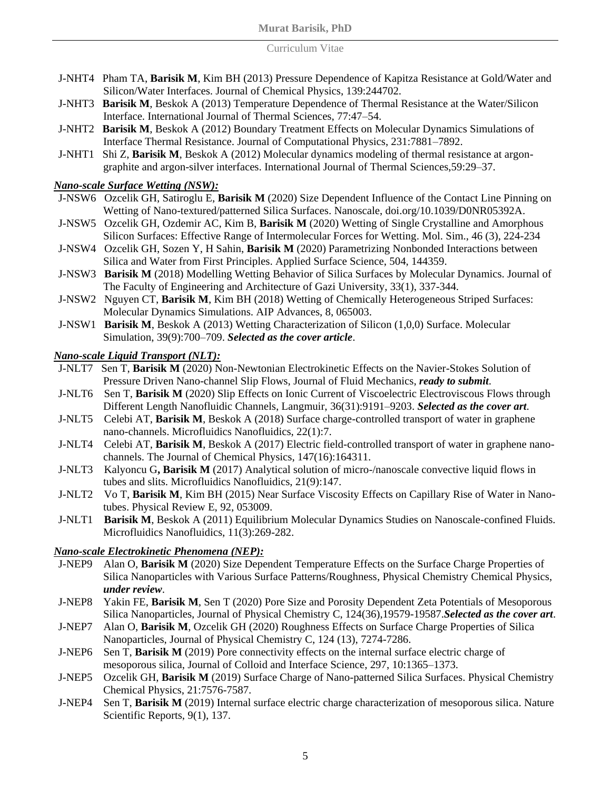#### Curriculum Vitae

- J-NHT4 Pham TA, **Barisik M**, Kim BH (2013) Pressure Dependence of Kapitza Resistance at Gold/Water and Silicon/Water Interfaces. Journal of Chemical Physics, 139:244702.
- J-NHT3 **Barisik M**, Beskok A (2013) Temperature Dependence of Thermal Resistance at the Water/Silicon Interface. International Journal of Thermal Sciences, 77:47–54.
- J-NHT2 **Barisik M**, Beskok A (2012) Boundary Treatment Effects on Molecular Dynamics Simulations of Interface Thermal Resistance. Journal of Computational Physics, 231:7881–7892.
- J-NHT1 Shi Z, **Barisik M**, Beskok A (2012) Molecular dynamics modeling of thermal resistance at argongraphite and argon-silver interfaces. International Journal of Thermal Sciences,59:29–37.

## *Nano-scale Surface Wetting (NSW):*

- J-NSW6 Ozcelik GH, Satiroglu E, **Barisik M** (2020) Size Dependent Influence of the Contact Line Pinning on Wetting of Nano-textured/patterned Silica Surfaces. Nanoscale, doi.org/10.1039/D0NR05392A.
- J-NSW5 Ozcelik GH, Ozdemir AC, Kim B, **Barisik M** (2020) Wetting of Single Crystalline and Amorphous Silicon Surfaces: Effective Range of Intermolecular Forces for Wetting. Mol. Sim., 46 (3), 224-234
- J-NSW4 Ozcelik GH, Sozen Y, H Sahin, **Barisik M** (2020) Parametrizing Nonbonded Interactions between Silica and Water from First Principles. Applied Surface Science, 504, 144359.
- J-NSW3 **Barisik M** (2018) Modelling Wetting Behavior of Silica Surfaces by Molecular Dynamics. Journal of The Faculty of Engineering and Architecture of Gazi University, 33(1), 337-344.
- J-NSW2 Nguyen CT, **Barisik M**, Kim BH (2018) Wetting of Chemically Heterogeneous Striped Surfaces: Molecular Dynamics Simulations. AIP Advances, 8, 065003.
- J-NSW1 **Barisik M**, Beskok A (2013) Wetting Characterization of Silicon (1,0,0) Surface. Molecular Simulation, 39(9):700–709. *Selected as the cover article*.

## *Nano-scale Liquid Transport (NLT):*

- J-NLT7 Sen T, **Barisik M** (2020) Non-Newtonian Electrokinetic Effects on the Navier-Stokes Solution of Pressure Driven Nano-channel Slip Flows, Journal of Fluid Mechanics, *ready to submit*.
- J-NLT6 Sen T, **Barisik M** (2020) Slip Effects on Ionic Current of Viscoelectric Electroviscous Flows through Different Length Nanofluidic Channels, Langmuir, 36(31):9191–9203. *Selected as the cover art*.
- J-NLT5 Celebi AT, **Barisik M**, Beskok A (2018) Surface charge-controlled transport of water in graphene nano-channels. Microfluidics Nanofluidics, 22(1):7.
- J-NLT4 Celebi AT, **Barisik M**, Beskok A (2017) Electric field-controlled transport of water in graphene nanochannels. The Journal of Chemical Physics, 147(16):164311.
- J-NLT3 Kalyoncu G**, Barisik M** (2017) Analytical solution of micro-/nanoscale convective liquid flows in tubes and slits. Microfluidics Nanofluidics, 21(9):147.
- J-NLT2 Vo T, **Barisik M**, Kim BH (2015) Near Surface Viscosity Effects on Capillary Rise of Water in Nanotubes. Physical Review E, 92, 053009.
- J-NLT1 **Barisik M**, Beskok A (2011) Equilibrium Molecular Dynamics Studies on Nanoscale-confined Fluids. Microfluidics Nanofluidics, 11(3):269-282.

## *Nano-scale Electrokinetic Phenomena (NEP):*

- J-NEP9 Alan O, **Barisik M** (2020) Size Dependent Temperature Effects on the Surface Charge Properties of Silica Nanoparticles with Various Surface Patterns/Roughness, Physical Chemistry Chemical Physics, *under review*.
- J-NEP8 Yakin FE, **Barisik M**, Sen T (2020) Pore Size and Porosity Dependent Zeta Potentials of Mesoporous Silica Nanoparticles, Journal of Physical Chemistry C, 124(36),19579-19587.*Selected as the cover art*.
- J-NEP7 Alan O, **Barisik M**, Ozcelik GH (2020) Roughness Effects on Surface Charge Properties of Silica Nanoparticles, Journal of Physical Chemistry C, 124 (13), 7274-7286.
- J-NEP6 Sen T, **Barisik M** (2019) Pore connectivity effects on the internal surface electric charge of mesoporous silica, Journal of Colloid and Interface Science, 297, 10:1365–1373.
- J-NEP5 Ozcelik GH, **Barisik M** (2019) Surface Charge of Nano-patterned Silica Surfaces. Physical Chemistry Chemical Physics, 21:7576-7587.
- J-NEP4 Sen T, **Barisik M** (2019) Internal surface electric charge characterization of mesoporous silica. Nature Scientific Reports, 9(1), 137.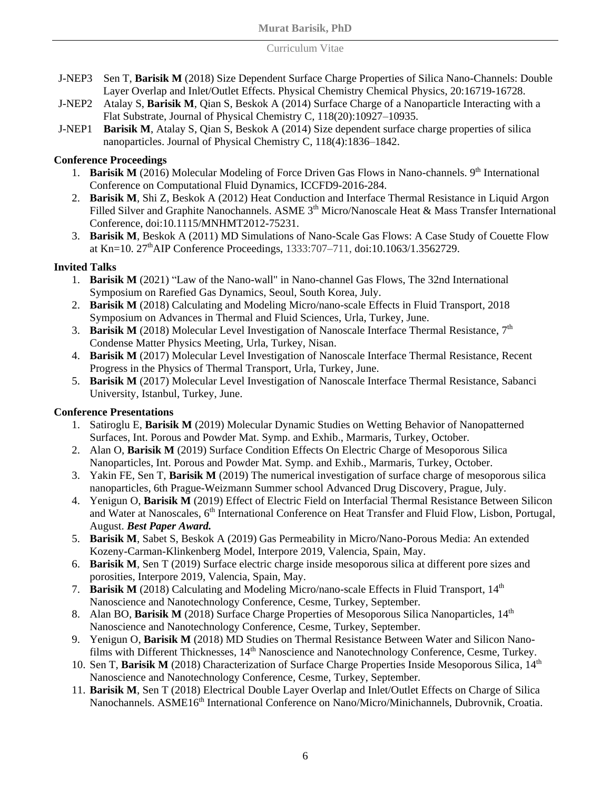#### Curriculum Vitae

- J-NEP3 Sen T, **Barisik M** (2018) Size Dependent Surface Charge Properties of Silica Nano-Channels: Double Layer Overlap and Inlet/Outlet Effects. Physical Chemistry Chemical Physics, 20:16719-16728.
- J-NEP2 Atalay S, **Barisik M**, Qian S, Beskok A (2014) Surface Charge of a Nanoparticle Interacting with a Flat Substrate, Journal of Physical Chemistry C, 118(20):10927–10935.
- J-NEP1 **Barisik M**, Atalay S, Qian S, Beskok A (2014) Size dependent surface charge properties of silica nanoparticles. Journal of Physical Chemistry C, 118(4):1836–1842.

## **Conference Proceedings**

- 1. **Barisik M** (2016) Molecular Modeling of Force Driven Gas Flows in Nano-channels. 9<sup>th</sup> International Conference on Computational Fluid Dynamics, ICCFD9-2016-284.
- 2. **Barisik M**, Shi Z, Beskok A (2012) Heat Conduction and Interface Thermal Resistance in Liquid Argon Filled Silver and Graphite Nanochannels. ASME 3<sup>th</sup> Micro/Nanoscale Heat & Mass Transfer International Conference, doi:10.1115/MNHMT2012-75231.
- 3. **Barisik M**, Beskok A (2011) MD Simulations of Nano-Scale Gas Flows: A Case Study of Couette Flow at Kn=10. 27<sup>th</sup>AIP Conference Proceedings, 1333:707–711, doi:10.1063/1.3562729.

# **Invited Talks**

- 1. **Barisik M** (2021) "Law of the Nano-wall" in Nano-channel Gas Flows, The 32nd International Symposium on Rarefied Gas Dynamics, Seoul, South Korea, July.
- 2. **Barisik M** (2018) Calculating and Modeling Micro/nano-scale Effects in Fluid Transport, 2018 Symposium on Advances in Thermal and Fluid Sciences, Urla, Turkey, June.
- 3. **Barisik M** (2018) Molecular Level Investigation of Nanoscale Interface Thermal Resistance, 7<sup>th</sup> Condense Matter Physics Meeting, Urla, Turkey, Nisan.
- 4. **Barisik M** (2017) Molecular Level Investigation of Nanoscale Interface Thermal Resistance, Recent Progress in the Physics of Thermal Transport, Urla, Turkey, June.
- 5. **Barisik M** (2017) Molecular Level Investigation of Nanoscale Interface Thermal Resistance, Sabanci University, Istanbul, Turkey, June.

## **Conference Presentations**

- 1. Satiroglu E, **Barisik M** (2019) Molecular Dynamic Studies on Wetting Behavior of Nanopatterned Surfaces, Int. Porous and Powder Mat. Symp. and Exhib., Marmaris, Turkey, October.
- 2. Alan O, **Barisik M** (2019) Surface Condition Effects On Electric Charge of Mesoporous Silica Nanoparticles, Int. Porous and Powder Mat. Symp. and Exhib., Marmaris, Turkey, October.
- 3. Yakin FE, Sen T, **Barisik M** (2019) The numerical investigation of surface charge of mesoporous silica nanoparticles, 6th Prague-Weizmann Summer school Advanced Drug Discovery, Prague, July.
- 4. Yenigun O, **Barisik M** (2019) Effect of Electric Field on Interfacial Thermal Resistance Between Silicon and Water at Nanoscales, 6<sup>th</sup> International Conference on Heat Transfer and Fluid Flow, Lisbon, Portugal, August. *Best Paper Award.*
- 5. **Barisik M**, Sabet S, Beskok A (2019) Gas Permeability in Micro/Nano-Porous Media: An extended Kozeny-Carman-Klinkenberg Model, Interpore 2019, Valencia, Spain, May.
- 6. **Barisik M**, Sen T (2019) Surface electric charge inside mesoporous silica at different pore sizes and porosities, Interpore 2019, Valencia, Spain, May.
- 7. **Barisik M** (2018) Calculating and Modeling Micro/nano-scale Effects in Fluid Transport, 14<sup>th</sup> Nanoscience and Nanotechnology Conference, Cesme, Turkey, September.
- 8. Alan BO, **Barisik M** (2018) Surface Charge Properties of Mesoporous Silica Nanoparticles, 14<sup>th</sup> Nanoscience and Nanotechnology Conference, Cesme, Turkey, September.
- 9. Yenigun O, **Barisik M** (2018) MD Studies on Thermal Resistance Between Water and Silicon Nanofilms with Different Thicknesses, 14<sup>th</sup> Nanoscience and Nanotechnology Conference, Cesme, Turkey.
- 10. Sen T, **Barisik M** (2018) Characterization of Surface Charge Properties Inside Mesoporous Silica, 14<sup>th</sup> Nanoscience and Nanotechnology Conference, Cesme, Turkey, September.
- 11. **Barisik M**, Sen T (2018) Electrical Double Layer Overlap and Inlet/Outlet Effects on Charge of Silica Nanochannels. ASME16<sup>th</sup> International Conference on Nano/Micro/Minichannels, Dubrovnik, Croatia.